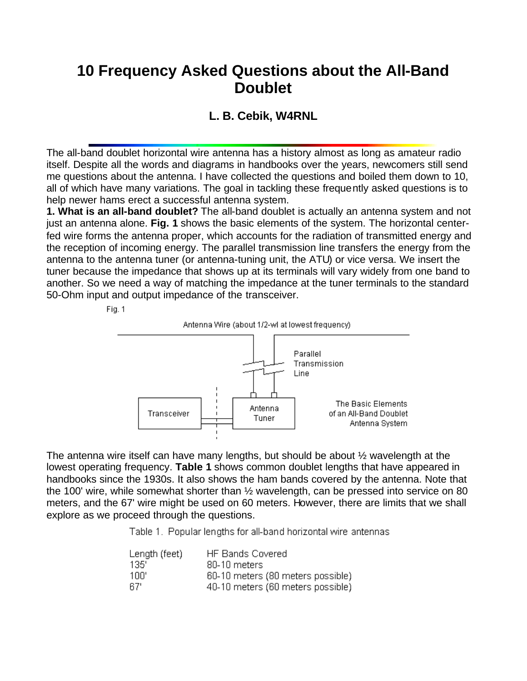## **10 Frequency Asked Questions about the All-Band Doublet**

## **L. B. Cebik, W4RNL**

The all-band doublet horizontal wire antenna has a history almost as long as amateur radio itself. Despite all the words and diagrams in handbooks over the years, newcomers still send me questions about the antenna. I have collected the questions and boiled them down to 10, all of which have many variations. The goal in tackling these frequently asked questions is to help newer hams erect a successful antenna system.

**1. What is an all-band doublet?** The all-band doublet is actually an antenna system and not just an antenna alone. **Fig. 1** shows the basic elements of the system. The horizontal centerfed wire forms the antenna proper, which accounts for the radiation of transmitted energy and the reception of incoming energy. The parallel transmission line transfers the energy from the antenna to the antenna tuner (or antenna-tuning unit, the ATU) or vice versa. We insert the tuner because the impedance that shows up at its terminals will vary widely from one band to another. So we need a way of matching the impedance at the tuner terminals to the standard 50-Ohm input and output impedance of the transceiver.



The antenna wire itself can have many lengths, but should be about ½ wavelength at the lowest operating frequency. **Table 1** shows common doublet lengths that have appeared in handbooks since the 1930s. It also shows the ham bands covered by the antenna. Note that the 100' wire, while somewhat shorter than ½ wavelength, can be pressed into service on 80 meters, and the 67' wire might be used on 60 meters. However, there are limits that we shall explore as we proceed through the questions.

Table 1. Popular lengths for all-band horizontal wire antennas

| Length (feet) | <b>HF Bands Covered</b>           |
|---------------|-----------------------------------|
| 135'          | 80-10 meters                      |
| 100'          | 60-10 meters (80 meters possible) |
| -67'          | 40-10 meters (60 meters possible) |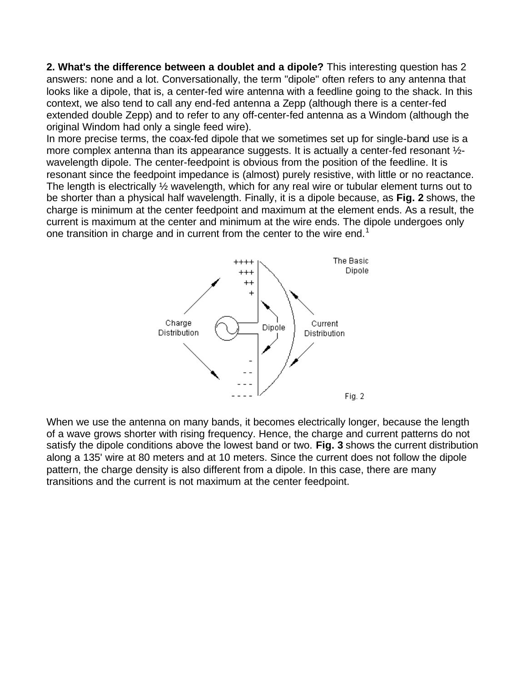**2. What's the difference between a doublet and a dipole?** This interesting question has 2 answers: none and a lot. Conversationally, the term "dipole" often refers to any antenna that looks like a dipole, that is, a center-fed wire antenna with a feedline going to the shack. In this context, we also tend to call any end-fed antenna a Zepp (although there is a center-fed extended double Zepp) and to refer to any off-center-fed antenna as a Windom (although the original Windom had only a single feed wire).

In more precise terms, the coax-fed dipole that we sometimes set up for single-band use is a more complex antenna than its appearance suggests. It is actually a center-fed resonant  $\frac{1}{2}$ wavelength dipole. The center-feedpoint is obvious from the position of the feedline. It is resonant since the feedpoint impedance is (almost) purely resistive, with little or no reactance. The length is electrically ½ wavelength, which for any real wire or tubular element turns out to be shorter than a physical half wavelength. Finally, it is a dipole because, as **Fig. 2** shows, the charge is minimum at the center feedpoint and maximum at the element ends. As a result, the current is maximum at the center and minimum at the wire ends. The dipole undergoes only one transition in charge and in current from the center to the wire end.<sup>1</sup>



When we use the antenna on many bands, it becomes electrically longer, because the length of a wave grows shorter with rising frequency. Hence, the charge and current patterns do not satisfy the dipole conditions above the lowest band or two. **Fig. 3** shows the current distribution along a 135' wire at 80 meters and at 10 meters. Since the current does not follow the dipole pattern, the charge density is also different from a dipole. In this case, there are many transitions and the current is not maximum at the center feedpoint.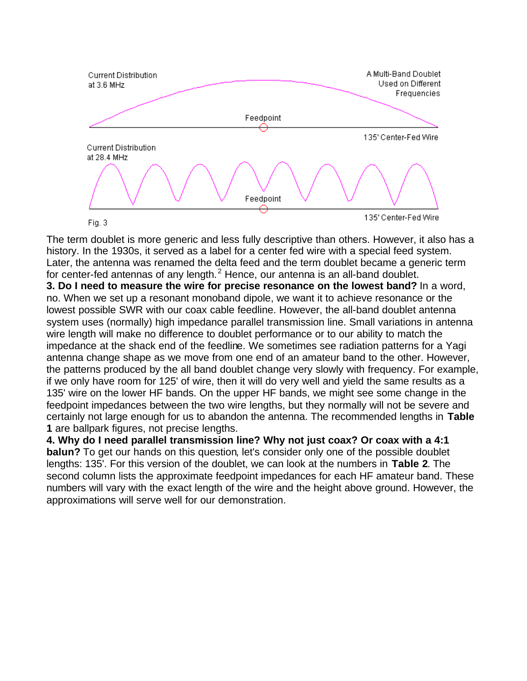

The term doublet is more generic and less fully descriptive than others. However, it also has a history. In the 1930s, it served as a label for a center fed wire with a special feed system. Later, the antenna was renamed the delta feed and the term doublet became a generic term for center-fed antennas of any length. $^2$  Hence, our antenna is an all-band doublet.

**3. Do I need to measure the wire for precise resonance on the lowest band?** In a word, no. When we set up a resonant monoband dipole, we want it to achieve resonance or the lowest possible SWR with our coax cable feedline. However, the all-band doublet antenna system uses (normally) high impedance parallel transmission line. Small variations in antenna wire length will make no difference to doublet performance or to our ability to match the impedance at the shack end of the feedline. We sometimes see radiation patterns for a Yagi antenna change shape as we move from one end of an amateur band to the other. However, the patterns produced by the all band doublet change very slowly with frequency. For example, if we only have room for 125' of wire, then it will do very well and yield the same results as a 135' wire on the lower HF bands. On the upper HF bands, we might see some change in the feedpoint impedances between the two wire lengths, but they normally will not be severe and certainly not large enough for us to abandon the antenna. The recommended lengths in **Table 1** are ballpark figures, not precise lengths.

**4. Why do I need parallel transmission line? Why not just coax? Or coax with a 4:1 balun?** To get our hands on this question, let's consider only one of the possible doublet lengths: 135'. For this version of the doublet, we can look at the numbers in **Table 2**. The second column lists the approximate feedpoint impedances for each HF amateur band. These numbers will vary with the exact length of the wire and the height above ground. However, the approximations will serve well for our demonstration.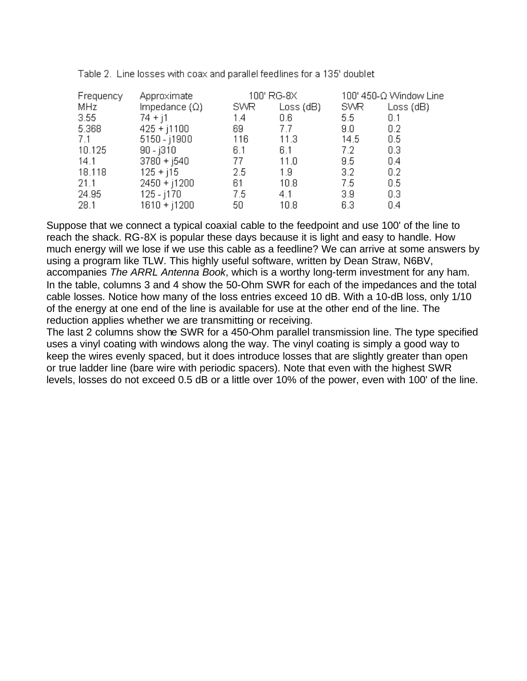| Frequency | Approximate          | 100' RG-8X |           |                  | 100' 450-Ω Window Line |
|-----------|----------------------|------------|-----------|------------------|------------------------|
| MHz       | Impedance $(\Omega)$ | SWR        | Loss (dB) | SWR              | Loss(dB)               |
| $3.55 -$  | $74 + j1$            | 1.4        | 0.6       | 5.5              | 0.1                    |
| 5.368     | $425 + j1100$        | 69.        | 7.7       | 9.0              | 0.2                    |
| 7.1       | 5150 - j1900         | 116        | 11.3      | 14.5             | 0.5                    |
| 10.125    | $90 - j310$          | 6.1        | 6.1       | 7.2              | 0.3                    |
| 14.1      | $3780 + 1540$        | 77.        | 11.0      | $9.5^{\circ}$    | 0.4                    |
| 18.118    | $125 + j15$          | 2.5        | 1.9       | $3.2\phantom{0}$ | 0.2                    |
| 21.1      | $2450 + j1200$       | 61         | 10.8      | 7.5              | 0.5                    |
| 24.95     | 125 - j170           | 7.5        | 4.1       | 3.9              | 0.3                    |
| 28.1      | $1610 + j1200$       | 50         | 10.8      | 6.3              | 0.4                    |

Table 2. Line losses with coax and parallel feedlines for a 135' doublet

Suppose that we connect a typical coaxial cable to the feedpoint and use 100' of the line to reach the shack. RG-8X is popular these days because it is light and easy to handle. How much energy will we lose if we use this cable as a feedline? We can arrive at some answers by using a program like TLW. This highly useful software, written by Dean Straw, N6BV, accompanies *The ARRL Antenna Book*, which is a worthy long-term investment for any ham. In the table, columns 3 and 4 show the 50-Ohm SWR for each of the impedances and the total cable losses. Notice how many of the loss entries exceed 10 dB. With a 10-dB loss, only 1/10 of the energy at one end of the line is available for use at the other end of the line. The reduction applies whether we are transmitting or receiving.

The last 2 columns show the SWR for a 450-Ohm parallel transmission line. The type specified uses a vinyl coating with windows along the way. The vinyl coating is simply a good way to keep the wires evenly spaced, but it does introduce losses that are slightly greater than open or true ladder line (bare wire with periodic spacers). Note that even with the highest SWR levels, losses do not exceed 0.5 dB or a little over 10% of the power, even with 100' of the line.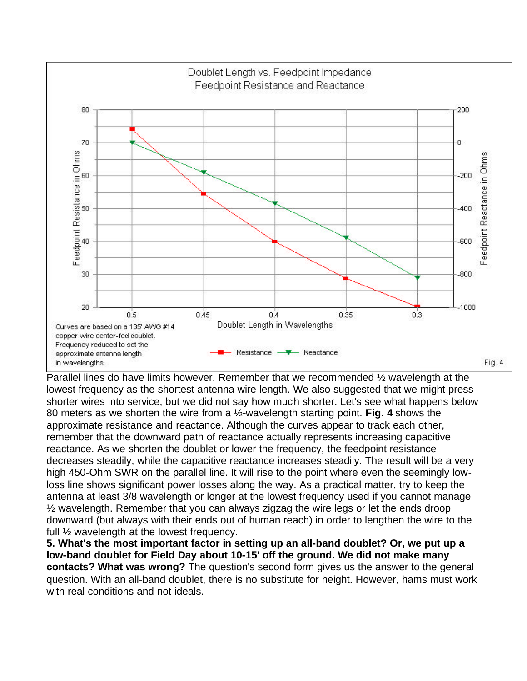

Parallel lines do have limits however. Remember that we recommended ½ wavelength at the lowest frequency as the shortest antenna wire length. We also suggested that we might press shorter wires into service, but we did not say how much shorter. Let's see what happens below 80 meters as we shorten the wire from a ½-wavelength starting point. **Fig. 4** shows the approximate resistance and reactance. Although the curves appear to track each other, remember that the downward path of reactance actually represents increasing capacitive reactance. As we shorten the doublet or lower the frequency, the feedpoint resistance decreases steadily, while the capacitive reactance increases steadily. The result will be a very high 450-Ohm SWR on the parallel line. It will rise to the point where even the seemingly lowloss line shows significant power losses along the way. As a practical matter, try to keep the antenna at least 3/8 wavelength or longer at the lowest frequency used if you cannot manage ½ wavelength. Remember that you can always zigzag the wire legs or let the ends droop downward (but always with their ends out of human reach) in order to lengthen the wire to the full ½ wavelength at the lowest frequency.

**5. What's the most important factor in setting up an all-band doublet? Or, we put up a low-band doublet for Field Day about 10-15' off the ground. We did not make many contacts? What was wrong?** The question's second form gives us the answer to the general question. With an all-band doublet, there is no substitute for height. However, hams must work with real conditions and not ideals.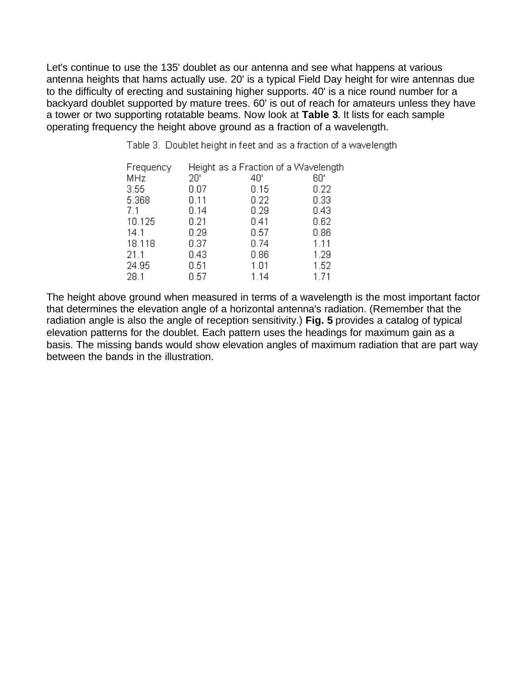Let's continue to use the 135' doublet as our antenna and see what happens at various antenna heights that hams actually use. 20' is a typical Field Day height for wire antennas due to the difficulty of erecting and sustaining higher supports. 40' is a nice round number for a backyard doublet supported by mature trees. 60' is out of reach for amateurs unless they have a tower or two supporting rotatable beams. Now look at **Table 3**. It lists for each sample operating frequency the height above ground as a fraction of a wavelength.

Table 3. Doublet height in feet and as a fraction of a wavelength

| Frequency |      | Height as a Fraction of a Wavelength |      |
|-----------|------|--------------------------------------|------|
| MHz.      | 20'  | 40'                                  | 60'  |
| 3.55      | 0.07 | 0.15                                 | 0.22 |
| 5.368     | 0.11 | 0.22                                 | 0.33 |
| 7.1       | 0.14 | 0.29                                 | 0.43 |
| 10.125    | 0.21 | 0.41                                 | 0.62 |
| 14.1      | 0.29 | 0.57                                 | 0.86 |
| 18.118    | 0.37 | 0.74                                 | 1.11 |
| 21.1      | 0.43 | 0.86                                 | 1.29 |
| 24.95     | 0.51 | 1.01                                 | 1.52 |
| 28.1      | 0.57 | 1.14                                 | 1.71 |

The height above ground when measured in terms of a wavelength is the most important factor that determines the elevation angle of a horizontal antenna's radiation. (Remember that the radiation angle is also the angle of reception sensitivity.) **Fig. 5** provides a catalog of typical elevation patterns for the doublet. Each pattern uses the headings for maximum gain as a basis. The missing bands would show elevation angles of maximum radiation that are part way between the bands in the illustration.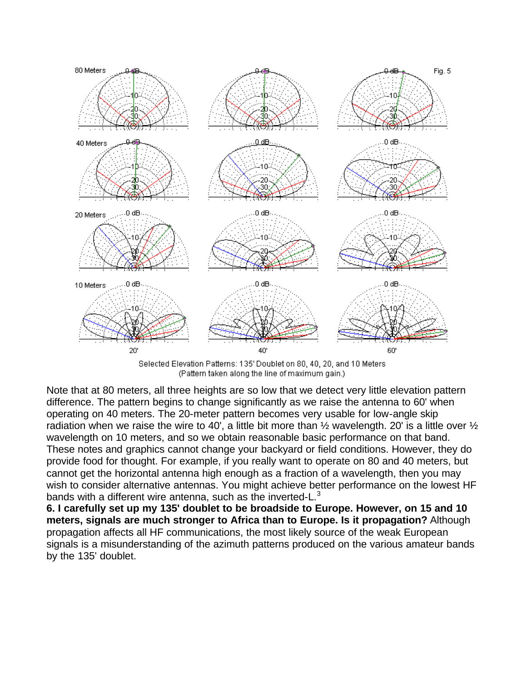

Selected Elevation Patterns: 135' Doublet on 80, 40, 20, and 10 Meters (Pattern taken along the line of maximum gain.)

Note that at 80 meters, all three heights are so low that we detect very little elevation pattern difference. The pattern begins to change significantly as we raise the antenna to 60' when operating on 40 meters. The 20-meter pattern becomes very usable for low-angle skip radiation when we raise the wire to 40', a little bit more than  $\frac{1}{2}$  wavelength. 20' is a little over  $\frac{1}{2}$ wavelength on 10 meters, and so we obtain reasonable basic performance on that band. These notes and graphics cannot change your backyard or field conditions. However, they do provide food for thought. For example, if you really want to operate on 80 and 40 meters, but cannot get the horizontal antenna high enough as a fraction of a wavelength, then you may wish to consider alternative antennas. You might achieve better performance on the lowest HF bands with a different wire antenna, such as the inverted- $L<sup>3</sup>$ 

**6. I carefully set up my 135' doublet to be broadside to Europe. However, on 15 and 10 meters, signals are much stronger to Africa than to Europe. Is it propagation?** Although propagation affects all HF communications, the most likely source of the weak European signals is a misunderstanding of the azimuth patterns produced on the various amateur bands by the 135' doublet.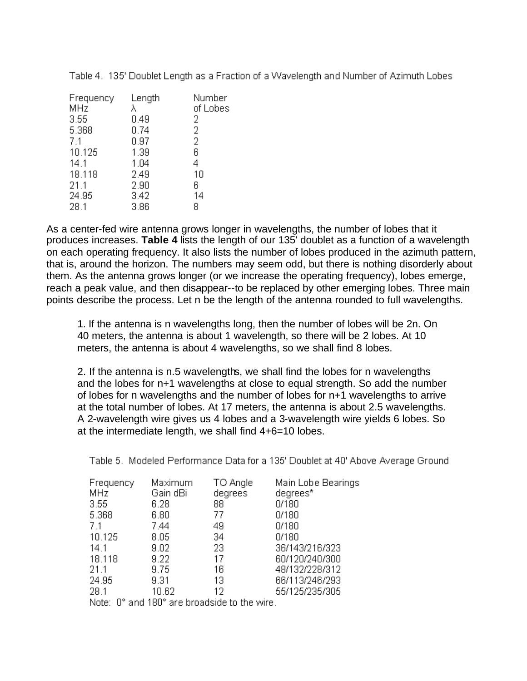| Frequency<br>MHz | Length<br>λ | Number<br>of Lobes |
|------------------|-------------|--------------------|
| 3.55             | 0.49        | 2                  |
| 5.368            | 0.74        | 2                  |
| 7.1              | 0.97        | $\overline{2}$     |
| 10.125           | 1.39        | 6                  |
| 14.1             | 1.04        | 4                  |
| 18.118           | 2.49        | 10                 |
| 21.1             | 2.90        | 6                  |
| 24.95            | 3.42        | 14                 |
| 28.1             | 3.86        | 8                  |

Table 4. 135' Doublet Length as a Fraction of a Wavelength and Number of Azimuth Lobes

As a center-fed wire antenna grows longer in wavelengths, the number of lobes that it produces increases. **Table 4** lists the length of our 135' doublet as a function of a wavelength on each operating frequency. It also lists the number of lobes produced in the azimuth pattern, that is, around the horizon. The numbers may seem odd, but there is nothing disorderly about them. As the antenna grows longer (or we increase the operating frequency), lobes emerge, reach a peak value, and then disappear--to be replaced by other emerging lobes. Three main points describe the process. Let n be the length of the antenna rounded to full wavelengths.

1. If the antenna is n wavelengths long, then the number of lobes will be 2n. On 40 meters, the antenna is about 1 wavelength, so there will be 2 lobes. At 10 meters, the antenna is about 4 wavelengths, so we shall find 8 lobes.

2. If the antenna is n.5 wavelengths, we shall find the lobes for n wavelengths and the lobes for n+1 wavelengths at close to equal strength. So add the number of lobes for n wavelengths and the number of lobes for n+1 wavelengths to arrive at the total number of lobes. At 17 meters, the antenna is about 2.5 wavelengths. A 2-wavelength wire gives us 4 lobes and a 3-wavelength wire yields 6 lobes. So at the intermediate length, we shall find 4+6=10 lobes.

Table 5. Modeled Performance Data for a 135' Doublet at 40' Above Average Ground

| Frequency | Maximum  | TO Angle | Main Lobe Bearings |
|-----------|----------|----------|--------------------|
| MHz       | Gain dBi | degrees  | degrees*           |
| 3.55      | 6.28     | 88       | 0/180              |
| 5.368     | 6.80     | 77       | 0/180              |
| 7.1       | 7.44     | 49       | 0/180              |
| 10.125    | 8.05     | 34       | 0/180              |
| 14.1      | 9.02     | 23.      | 36/143/216/323     |
| 18.118    | 9.22     | 17       | 60/120/240/300     |
| 21.1      | 9.75     | 16       | 48/132/228/312     |
| 24.95     | 9.31     | 13       | 66/113/246/293     |
| 28.1      | 10.62    | 12       | 55/125/235/305     |
|           |          |          |                    |

Note: 0° and 180° are broadside to the wire.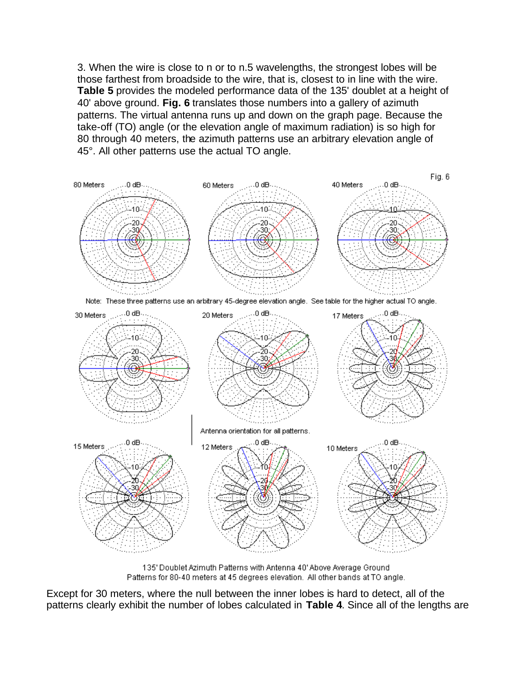3. When the wire is close to n or to n.5 wavelengths, the strongest lobes will be those farthest from broadside to the wire, that is, closest to in line with the wire. **Table 5** provides the modeled performance data of the 135' doublet at a height of 40' above ground. **Fig. 6** translates those numbers into a gallery of azimuth patterns. The virtual antenna runs up and down on the graph page. Because the take-off (TO) angle (or the elevation angle of maximum radiation) is so high for 80 through 40 meters, the azimuth patterns use an arbitrary elevation angle of 45°. All other patterns use the actual TO angle.



135' Doublet Azimuth Patterns with Antenna 40' Above Average Ground Patterns for 80-40 meters at 45 degrees elevation. All other bands at TO angle.

Except for 30 meters, where the null between the inner lobes is hard to detect, all of the patterns clearly exhibit the number of lobes calculated in **Table 4**. Since all of the lengths are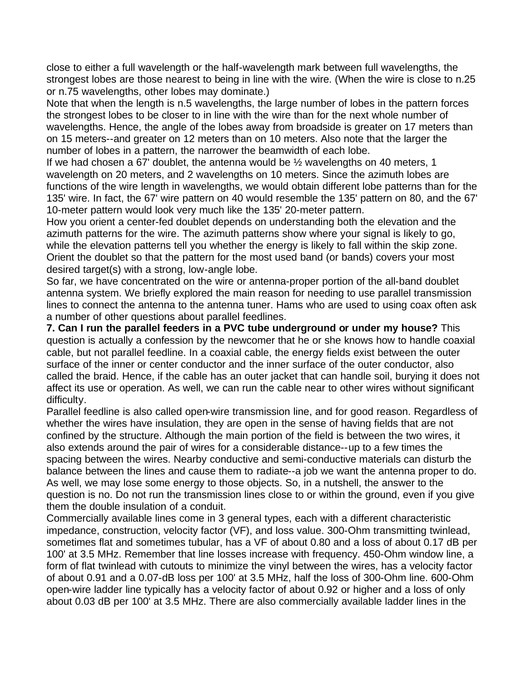close to either a full wavelength or the half-wavelength mark between full wavelengths, the strongest lobes are those nearest to being in line with the wire. (When the wire is close to n.25 or n.75 wavelengths, other lobes may dominate.)

Note that when the length is n.5 wavelengths, the large number of lobes in the pattern forces the strongest lobes to be closer to in line with the wire than for the next whole number of wavelengths. Hence, the angle of the lobes away from broadside is greater on 17 meters than on 15 meters--and greater on 12 meters than on 10 meters. Also note that the larger the number of lobes in a pattern, the narrower the beamwidth of each lobe.

If we had chosen a 67' doublet, the antenna would be  $\frac{1}{2}$  wavelengths on 40 meters, 1 wavelength on 20 meters, and 2 wavelengths on 10 meters. Since the azimuth lobes are functions of the wire length in wavelengths, we would obtain different lobe patterns than for the 135' wire. In fact, the 67' wire pattern on 40 would resemble the 135' pattern on 80, and the 67' 10-meter pattern would look very much like the 135' 20-meter pattern.

How you orient a center-fed doublet depends on understanding both the elevation and the azimuth patterns for the wire. The azimuth patterns show where your signal is likely to go, while the elevation patterns tell you whether the energy is likely to fall within the skip zone. Orient the doublet so that the pattern for the most used band (or bands) covers your most desired target(s) with a strong, low-angle lobe.

So far, we have concentrated on the wire or antenna-proper portion of the all-band doublet antenna system. We briefly explored the main reason for needing to use parallel transmission lines to connect the antenna to the antenna tuner. Hams who are used to using coax often ask a number of other questions about parallel feedlines.

**7. Can I run the parallel feeders in a PVC tube underground or under my house?** This question is actually a confession by the newcomer that he or she knows how to handle coaxial cable, but not parallel feedline. In a coaxial cable, the energy fields exist between the outer surface of the inner or center conductor and the inner surface of the outer conductor, also called the braid. Hence, if the cable has an outer jacket that can handle soil, burying it does not affect its use or operation. As well, we can run the cable near to other wires without significant difficulty.

Parallel feedline is also called open-wire transmission line, and for good reason. Regardless of whether the wires have insulation, they are open in the sense of having fields that are not confined by the structure. Although the main portion of the field is between the two wires, it also extends around the pair of wires for a considerable distance--up to a few times the spacing between the wires. Nearby conductive and semi-conductive materials can disturb the balance between the lines and cause them to radiate--a job we want the antenna proper to do. As well, we may lose some energy to those objects. So, in a nutshell, the answer to the question is no. Do not run the transmission lines close to or within the ground, even if you give them the double insulation of a conduit.

Commercially available lines come in 3 general types, each with a different characteristic impedance, construction, velocity factor (VF), and loss value. 300-Ohm transmitting twinlead, sometimes flat and sometimes tubular, has a VF of about 0.80 and a loss of about 0.17 dB per 100' at 3.5 MHz. Remember that line losses increase with frequency. 450-Ohm window line, a form of flat twinlead with cutouts to minimize the vinyl between the wires, has a velocity factor of about 0.91 and a 0.07-dB loss per 100' at 3.5 MHz, half the loss of 300-Ohm line. 600-Ohm open-wire ladder line typically has a velocity factor of about 0.92 or higher and a loss of only about 0.03 dB per 100' at 3.5 MHz. There are also commercially available ladder lines in the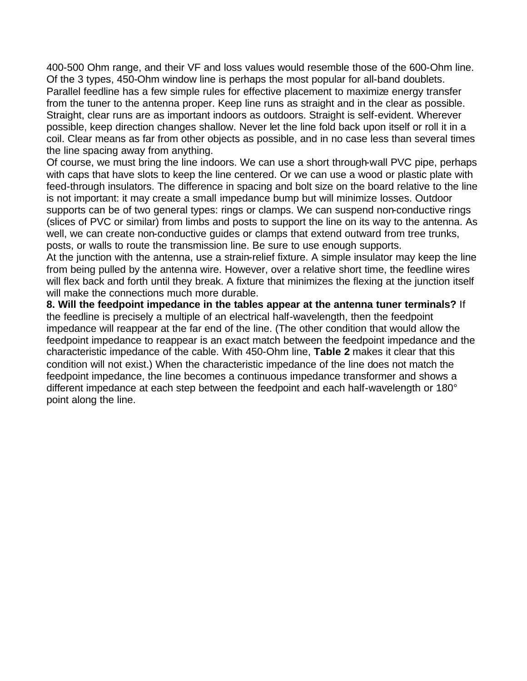400-500 Ohm range, and their VF and loss values would resemble those of the 600-Ohm line. Of the 3 types, 450-Ohm window line is perhaps the most popular for all-band doublets. Parallel feedline has a few simple rules for effective placement to maximize energy transfer from the tuner to the antenna proper. Keep line runs as straight and in the clear as possible. Straight, clear runs are as important indoors as outdoors. Straight is self-evident. Wherever possible, keep direction changes shallow. Never let the line fold back upon itself or roll it in a coil. Clear means as far from other objects as possible, and in no case less than several times the line spacing away from anything.

Of course, we must bring the line indoors. We can use a short through-wall PVC pipe, perhaps with caps that have slots to keep the line centered. Or we can use a wood or plastic plate with feed-through insulators. The difference in spacing and bolt size on the board relative to the line is not important: it may create a small impedance bump but will minimize losses. Outdoor supports can be of two general types: rings or clamps. We can suspend non-conductive rings (slices of PVC or similar) from limbs and posts to support the line on its way to the antenna. As well, we can create non-conductive guides or clamps that extend outward from tree trunks, posts, or walls to route the transmission line. Be sure to use enough supports.

At the junction with the antenna, use a strain-relief fixture. A simple insulator may keep the line from being pulled by the antenna wire. However, over a relative short time, the feedline wires will flex back and forth until they break. A fixture that minimizes the flexing at the junction itself will make the connections much more durable.

**8. Will the feedpoint impedance in the tables appear at the antenna tuner terminals?** If the feedline is precisely a multiple of an electrical half-wavelength, then the feedpoint impedance will reappear at the far end of the line. (The other condition that would allow the feedpoint impedance to reappear is an exact match between the feedpoint impedance and the characteristic impedance of the cable. With 450-Ohm line, **Table 2** makes it clear that this condition will not exist.) When the characteristic impedance of the line does not match the feedpoint impedance, the line becomes a continuous impedance transformer and shows a different impedance at each step between the feedpoint and each half-wavelength or 180° point along the line.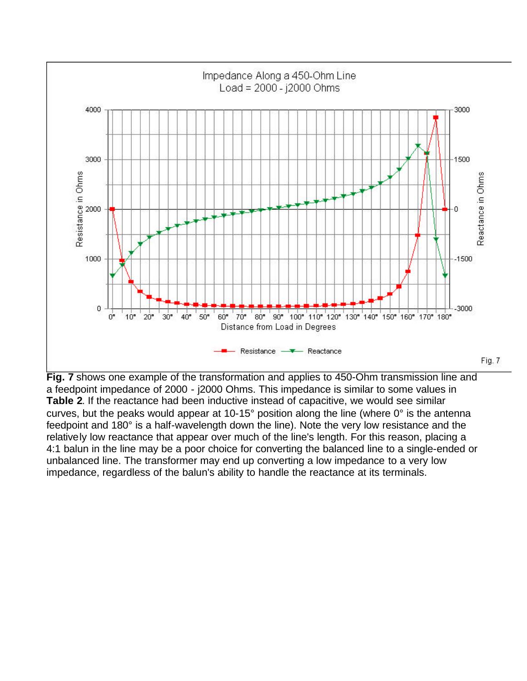

**Fig. 7** shows one example of the transformation and applies to 450-Ohm transmission line and a feedpoint impedance of 2000 - j2000 Ohms. This impedance is similar to some values in **Table 2**. If the reactance had been inductive instead of capacitive, we would see similar curves, but the peaks would appear at 10-15° position along the line (where 0° is the antenna feedpoint and 180° is a half-wavelength down the line). Note the very low resistance and the relatively low reactance that appear over much of the line's length. For this reason, placing a 4:1 balun in the line may be a poor choice for converting the balanced line to a single-ended or unbalanced line. The transformer may end up converting a low impedance to a very low impedance, regardless of the balun's ability to handle the reactance at its terminals.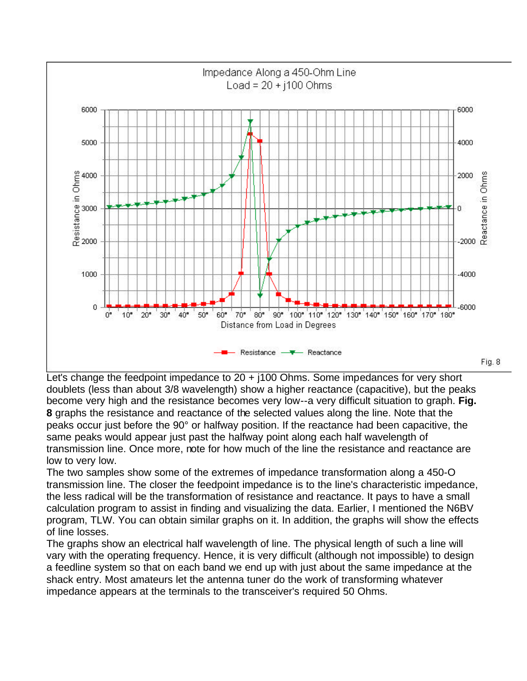

Let's change the feedpoint impedance to 20 + j100 Ohms. Some impedances for very short doublets (less than about 3/8 wavelength) show a higher reactance (capacitive), but the peaks become very high and the resistance becomes very low--a very difficult situation to graph. **Fig. 8** graphs the resistance and reactance of the selected values along the line. Note that the peaks occur just before the 90° or halfway position. If the reactance had been capacitive, the same peaks would appear just past the halfway point along each half wavelength of transmission line. Once more, note for how much of the line the resistance and reactance are low to very low.

The two samples show some of the extremes of impedance transformation along a 450-O transmission line. The closer the feedpoint impedance is to the line's characteristic impedance, the less radical will be the transformation of resistance and reactance. It pays to have a small calculation program to assist in finding and visualizing the data. Earlier, I mentioned the N6BV program, TLW. You can obtain similar graphs on it. In addition, the graphs will show the effects of line losses.

The graphs show an electrical half wavelength of line. The physical length of such a line will vary with the operating frequency. Hence, it is very difficult (although not impossible) to design a feedline system so that on each band we end up with just about the same impedance at the shack entry. Most amateurs let the antenna tuner do the work of transforming whatever impedance appears at the terminals to the transceiver's required 50 Ohms.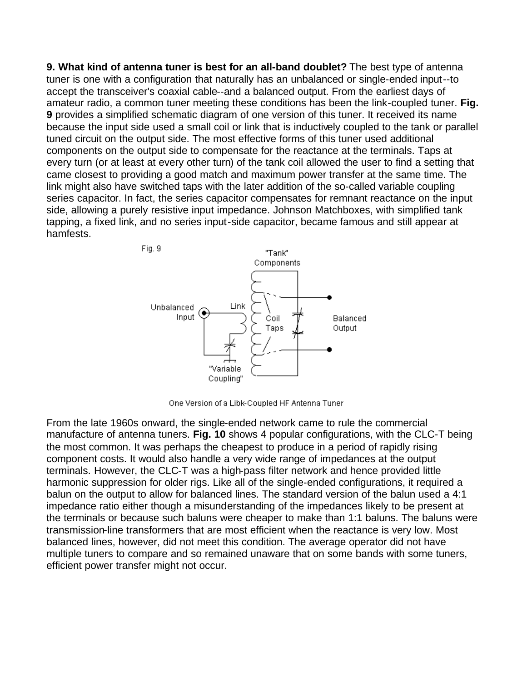**9. What kind of antenna tuner is best for an all-band doublet?** The best type of antenna tuner is one with a configuration that naturally has an unbalanced or single-ended input--to accept the transceiver's coaxial cable--and a balanced output. From the earliest days of amateur radio, a common tuner meeting these conditions has been the link-coupled tuner. **Fig. 9** provides a simplified schematic diagram of one version of this tuner. It received its name because the input side used a small coil or link that is inductively coupled to the tank or parallel tuned circuit on the output side. The most effective forms of this tuner used additional components on the output side to compensate for the reactance at the terminals. Taps at every turn (or at least at every other turn) of the tank coil allowed the user to find a setting that came closest to providing a good match and maximum power transfer at the same time. The link might also have switched taps with the later addition of the so-called variable coupling series capacitor. In fact, the series capacitor compensates for remnant reactance on the input side, allowing a purely resistive input impedance. Johnson Matchboxes, with simplified tank tapping, a fixed link, and no series input-side capacitor, became famous and still appear at hamfests.



One Version of a Libk-Coupled HF Antenna Tuner

From the late 1960s onward, the single-ended network came to rule the commercial manufacture of antenna tuners. **Fig. 10** shows 4 popular configurations, with the CLC-T being the most common. It was perhaps the cheapest to produce in a period of rapidly rising component costs. It would also handle a very wide range of impedances at the output terminals. However, the CLC-T was a high-pass filter network and hence provided little harmonic suppression for older rigs. Like all of the single-ended configurations, it required a balun on the output to allow for balanced lines. The standard version of the balun used a 4:1 impedance ratio either though a misunderstanding of the impedances likely to be present at the terminals or because such baluns were cheaper to make than 1:1 baluns. The baluns were transmission-line transformers that are most efficient when the reactance is very low. Most balanced lines, however, did not meet this condition. The average operator did not have multiple tuners to compare and so remained unaware that on some bands with some tuners, efficient power transfer might not occur.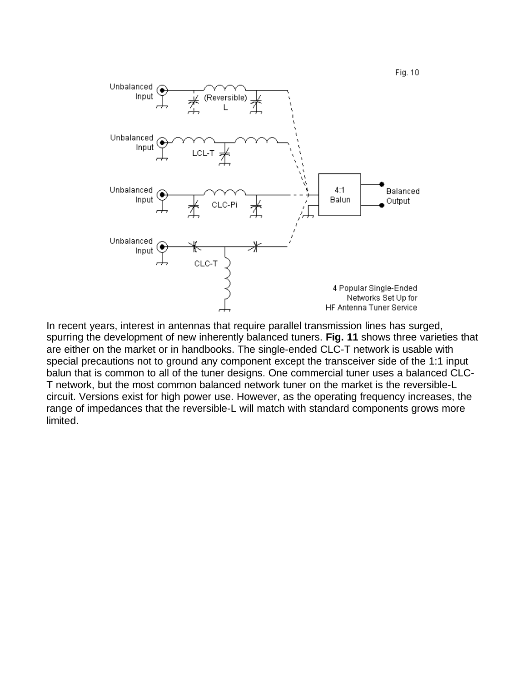

In recent years, interest in antennas that require parallel transmission lines has surged, spurring the development of new inherently balanced tuners. **Fig. 11** shows three varieties that are either on the market or in handbooks. The single-ended CLC-T network is usable with special precautions not to ground any component except the transceiver side of the 1:1 input balun that is common to all of the tuner designs. One commercial tuner uses a balanced CLC-T network, but the most common balanced network tuner on the market is the reversible-L circuit. Versions exist for high power use. However, as the operating frequency increases, the range of impedances that the reversible-L will match with standard components grows more limited.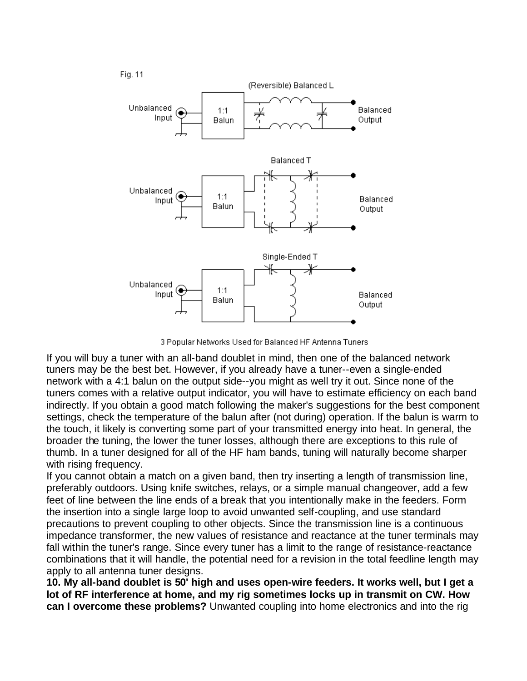

3 Popular Networks Used for Balanced HF Antenna Tuners

If you will buy a tuner with an all-band doublet in mind, then one of the balanced network tuners may be the best bet. However, if you already have a tuner--even a single-ended network with a 4:1 balun on the output side--you might as well try it out. Since none of the tuners comes with a relative output indicator, you will have to estimate efficiency on each band indirectly. If you obtain a good match following the maker's suggestions for the best component settings, check the temperature of the balun after (not during) operation. If the balun is warm to the touch, it likely is converting some part of your transmitted energy into heat. In general, the broader the tuning, the lower the tuner losses, although there are exceptions to this rule of thumb. In a tuner designed for all of the HF ham bands, tuning will naturally become sharper with rising frequency.

If you cannot obtain a match on a given band, then try inserting a length of transmission line, preferably outdoors. Using knife switches, relays, or a simple manual changeover, add a few feet of line between the line ends of a break that you intentionally make in the feeders. Form the insertion into a single large loop to avoid unwanted self-coupling, and use standard precautions to prevent coupling to other objects. Since the transmission line is a continuous impedance transformer, the new values of resistance and reactance at the tuner terminals may fall within the tuner's range. Since every tuner has a limit to the range of resistance-reactance combinations that it will handle, the potential need for a revision in the total feedline length may apply to all antenna tuner designs.

**10. My all-band doublet is 50' high and uses open-wire feeders. It works well, but I get a lot of RF interference at home, and my rig sometimes locks up in transmit on CW. How can I overcome these problems?** Unwanted coupling into home electronics and into the rig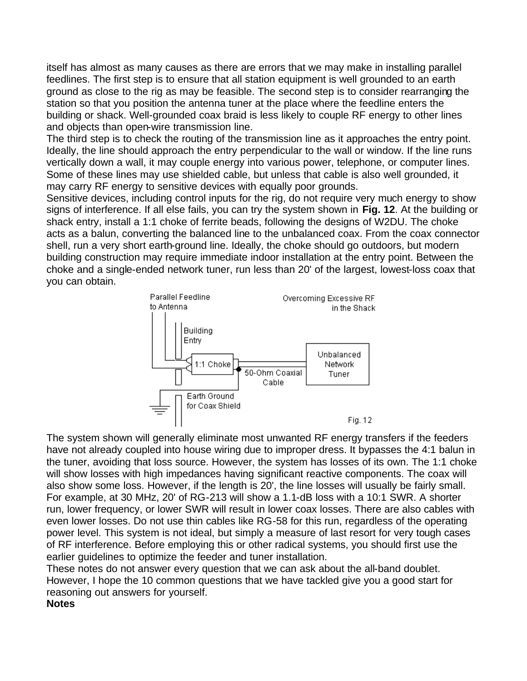itself has almost as many causes as there are errors that we may make in installing parallel feedlines. The first step is to ensure that all station equipment is well grounded to an earth ground as close to the rig as may be feasible. The second step is to consider rearranging the station so that you position the antenna tuner at the place where the feedline enters the building or shack. Well-grounded coax braid is less likely to couple RF energy to other lines and objects than open-wire transmission line.

The third step is to check the routing of the transmission line as it approaches the entry point. Ideally, the line should approach the entry perpendicular to the wall or window. If the line runs vertically down a wall, it may couple energy into various power, telephone, or computer lines. Some of these lines may use shielded cable, but unless that cable is also well grounded, it may carry RF energy to sensitive devices with equally poor grounds.

Sensitive devices, including control inputs for the rig, do not require very much energy to show signs of interference. If all else fails, you can try the system shown in **Fig. 12**. At the building or shack entry, install a 1:1 choke of ferrite beads, following the designs of W2DU. The choke acts as a balun, converting the balanced line to the unbalanced coax. From the coax connector shell, run a very short earth-ground line. Ideally, the choke should go outdoors, but modern building construction may require immediate indoor installation at the entry point. Between the choke and a single-ended network tuner, run less than 20' of the largest, lowest-loss coax that you can obtain.



The system shown will generally eliminate most unwanted RF energy transfers if the feeders have not already coupled into house wiring due to improper dress. It bypasses the 4:1 balun in the tuner, avoiding that loss source. However, the system has losses of its own. The 1:1 choke will show losses with high impedances having significant reactive components. The coax will also show some loss. However, if the length is 20', the line losses will usually be fairly small. For example, at 30 MHz, 20' of RG-213 will show a 1.1-dB loss with a 10:1 SWR. A shorter run, lower frequency, or lower SWR will result in lower coax losses. There are also cables with even lower losses. Do not use thin cables like RG-58 for this run, regardless of the operating power level. This system is not ideal, but simply a measure of last resort for very tough cases of RF interference. Before employing this or other radical systems, you should first use the earlier guidelines to optimize the feeder and tuner installation.

These notes do not answer every question that we can ask about the all-band doublet. However, I hope the 10 common questions that we have tackled give you a good start for reasoning out answers for yourself. **Notes**